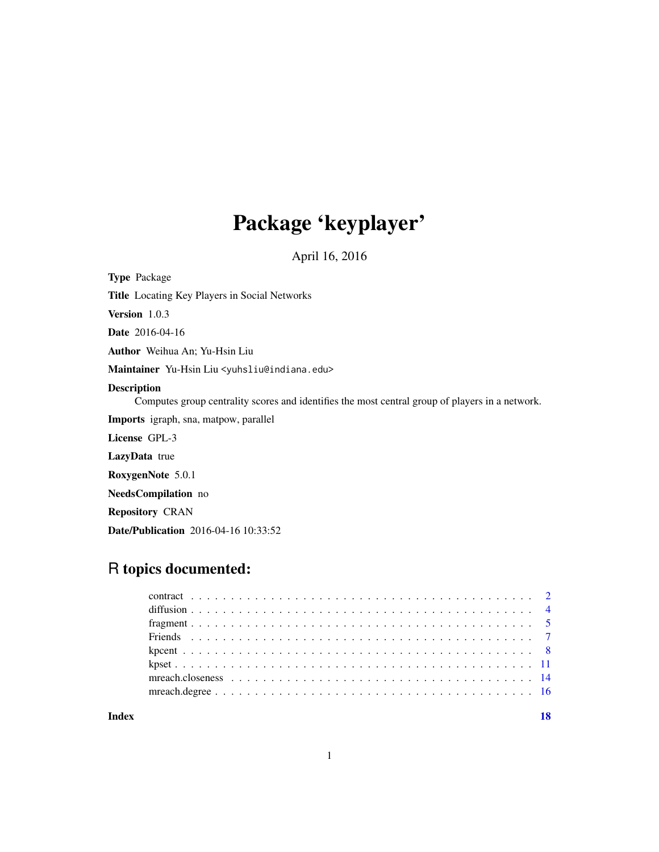# Package 'keyplayer'

April 16, 2016

<span id="page-0-0"></span>Type Package

Title Locating Key Players in Social Networks

Version 1.0.3

Date 2016-04-16

Author Weihua An; Yu-Hsin Liu

Maintainer Yu-Hsin Liu <yuhsliu@indiana.edu>

#### Description

Computes group centrality scores and identifies the most central group of players in a network.

Imports igraph, sna, matpow, parallel

License GPL-3

LazyData true

RoxygenNote 5.0.1

NeedsCompilation no

Repository CRAN

Date/Publication 2016-04-16 10:33:52

# R topics documented:

| Index |  |  |
|-------|--|--|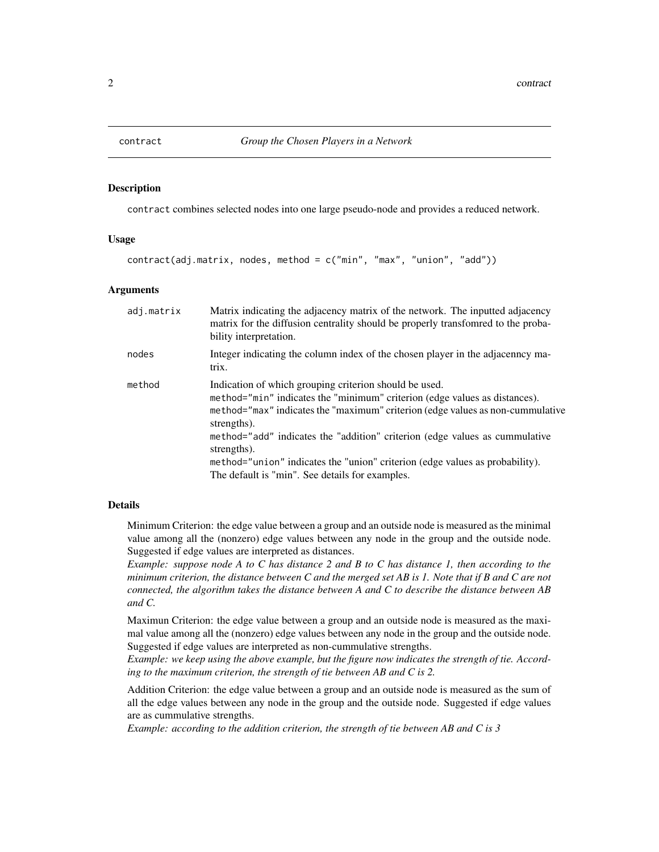<span id="page-1-1"></span><span id="page-1-0"></span>

# Description

contract combines selected nodes into one large pseudo-node and provides a reduced network.

#### Usage

```
contract(adj.matrix, nodes, method = c("min", "max", "union", "add"))
```
# Arguments

| adj.matrix | Matrix indicating the adjacency matrix of the network. The inputted adjacency<br>matrix for the diffusion centrality should be properly transformed to the proba-<br>bility interpretation.                                                                                                                                                                                                                                                                            |
|------------|------------------------------------------------------------------------------------------------------------------------------------------------------------------------------------------------------------------------------------------------------------------------------------------------------------------------------------------------------------------------------------------------------------------------------------------------------------------------|
| nodes      | Integer indicating the column index of the chosen player in the adjacenncy ma-<br>trix.                                                                                                                                                                                                                                                                                                                                                                                |
| method     | Indication of which grouping criterion should be used.<br>method="min" indicates the "minimum" criterion (edge values as distances).<br>method="max" indicates the "maximum" criterion (edge values as non-cummulative<br>strengths).<br>method="add" indicates the "addition" criterion (edge values as cummulative<br>strengths).<br>method="union" indicates the "union" criterion (edge values as probability).<br>The default is "min". See details for examples. |

#### Details

Minimum Criterion: the edge value between a group and an outside node is measured as the minimal value among all the (nonzero) edge values between any node in the group and the outside node. Suggested if edge values are interpreted as distances.

*Example: suppose node A to C has distance 2 and B to C has distance 1, then according to the minimum criterion, the distance between C and the merged set AB is 1. Note that if B and C are not connected, the algorithm takes the distance between A and C to describe the distance between AB and C.*

Maximun Criterion: the edge value between a group and an outside node is measured as the maximal value among all the (nonzero) edge values between any node in the group and the outside node. Suggested if edge values are interpreted as non-cummulative strengths.

*Example: we keep using the above example, but the figure now indicates the strength of tie. According to the maximum criterion, the strength of tie between AB and C is 2.*

Addition Criterion: the edge value between a group and an outside node is measured as the sum of all the edge values between any node in the group and the outside node. Suggested if edge values are as cummulative strengths.

*Example: according to the addition criterion, the strength of tie between AB and C is 3*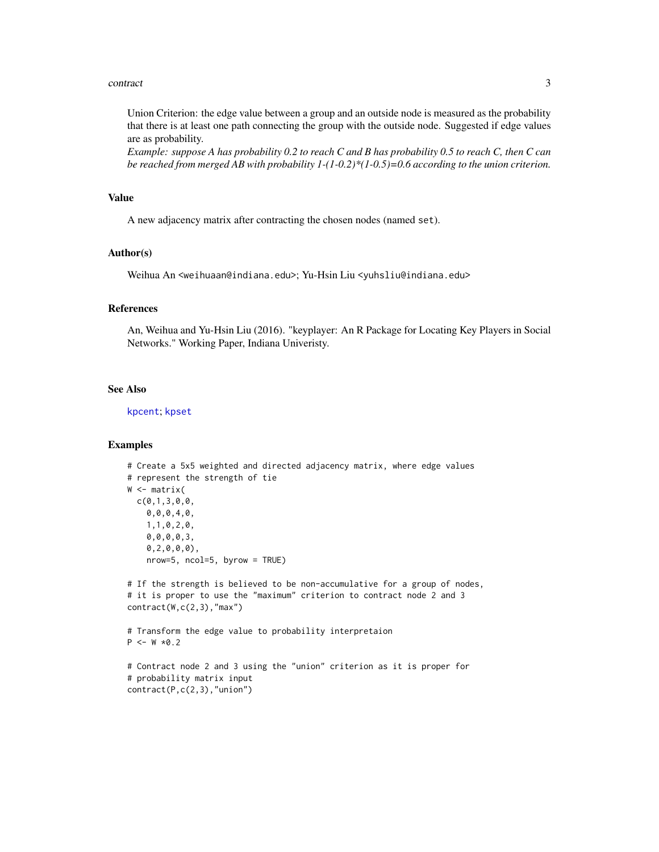#### <span id="page-2-0"></span>contract 3

Union Criterion: the edge value between a group and an outside node is measured as the probability that there is at least one path connecting the group with the outside node. Suggested if edge values are as probability.

*Example: suppose A has probability 0.2 to reach C and B has probability 0.5 to reach C, then C can be reached from merged AB with probability 1-(1-0.2)\*(1-0.5)=0.6 according to the union criterion.*

#### Value

A new adjacency matrix after contracting the chosen nodes (named set).

#### Author(s)

Weihua An <weihuaan@indiana.edu>; Yu-Hsin Liu <yuhsliu@indiana.edu>

### References

An, Weihua and Yu-Hsin Liu (2016). "keyplayer: An R Package for Locating Key Players in Social Networks." Working Paper, Indiana Univeristy.

# See Also

[kpcent](#page-7-1); [kpset](#page-10-1)

#### Examples

```
# Create a 5x5 weighted and directed adjacency matrix, where edge values
# represent the strength of tie
W <- matrix(
 c(0,1,3,0,0,
   0,0,0,4,0,
   1,1,0,2,0,
   0,0,0,0,3,
   0,2,0,0,0),
   nrow=5, ncol=5, byrow = TRUE)
# If the strength is believed to be non-accumulative for a group of nodes,
# it is proper to use the "maximum" criterion to contract node 2 and 3
contract(W,c(2,3),"max")
# Transform the edge value to probability interpretaion
P \le -W * 0.2# Contract node 2 and 3 using the "union" criterion as it is proper for
# probability matrix input
contract(P,c(2,3),"union")
```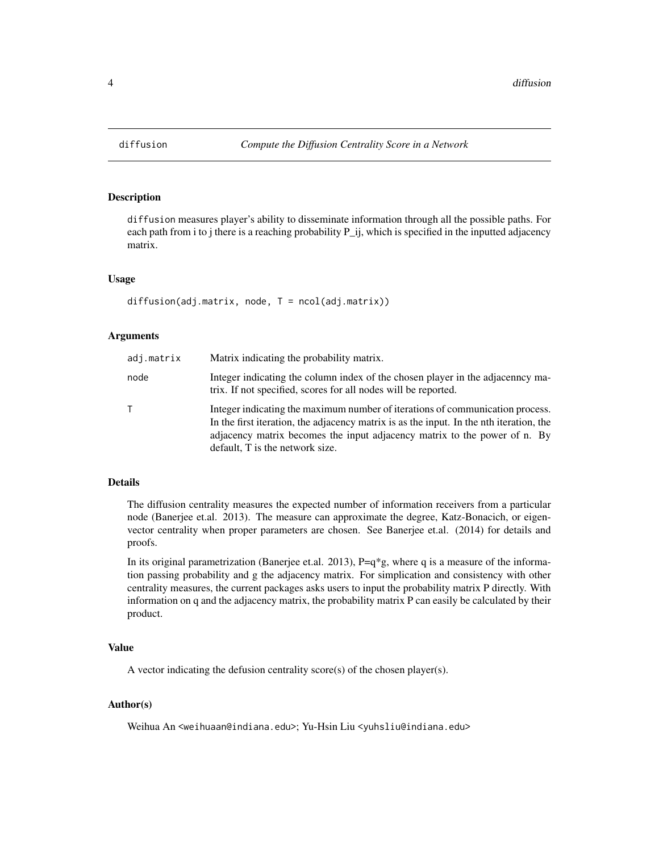#### Description

diffusion measures player's ability to disseminate information through all the possible paths. For each path from i to j there is a reaching probability P\_ij, which is specified in the inputted adjacency matrix.

#### Usage

```
diffusion(adj.matrix, node, T = ncol(adj.matrix))
```
# Arguments

| adj.matrix | Matrix indicating the probability matrix.                                                                                                                                                                                                                                                |
|------------|------------------------------------------------------------------------------------------------------------------------------------------------------------------------------------------------------------------------------------------------------------------------------------------|
| node       | Integer indicating the column index of the chosen player in the adjacenney ma-<br>trix. If not specified, scores for all nodes will be reported.                                                                                                                                         |
|            | Integer indicating the maximum number of iterations of communication process.<br>In the first iteration, the adjacency matrix is as the input. In the nth iteration, the<br>adjacency matrix becomes the input adjacency matrix to the power of n. By<br>default. T is the network size. |

#### Details

The diffusion centrality measures the expected number of information receivers from a particular node (Banerjee et.al. 2013). The measure can approximate the degree, Katz-Bonacich, or eigenvector centrality when proper parameters are chosen. See Banerjee et.al. (2014) for details and proofs.

In its original parametrization (Banerjee et.al. 2013), P=q\*g, where q is a measure of the information passing probability and g the adjacency matrix. For simplication and consistency with other centrality measures, the current packages asks users to input the probability matrix P directly. With information on q and the adjacency matrix, the probability matrix P can easily be calculated by their product.

#### Value

A vector indicating the defusion centrality score(s) of the chosen player(s).

## Author(s)

Weihua An <weihuaan@indiana.edu>; Yu-Hsin Liu <yuhsliu@indiana.edu>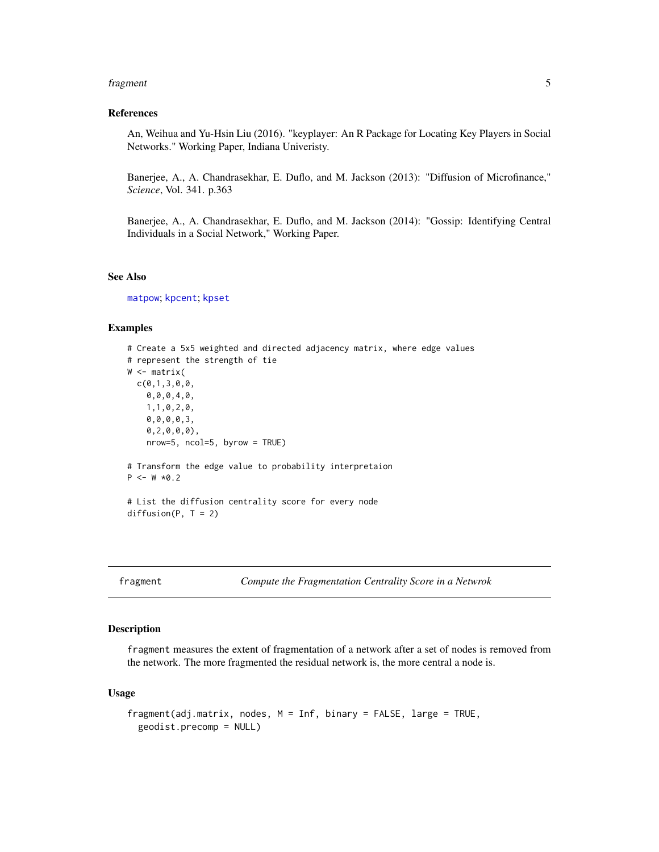#### <span id="page-4-0"></span>fragment 5 and 5 and 5 and 5 and 5 and 5 and 5 and 5 and 5 and 5 and 5 and 5 and 5 and 5 and 5 and 5 and 5 and 5 and 5 and 5 and 5 and 5 and 5 and 5 and 5 and 5 and 5 and 5 and 5 and 5 and 5 and 5 and 5 and 5 and 5 and 5 a

# References

An, Weihua and Yu-Hsin Liu (2016). "keyplayer: An R Package for Locating Key Players in Social Networks." Working Paper, Indiana Univeristy.

Banerjee, A., A. Chandrasekhar, E. Duflo, and M. Jackson (2013): "Diffusion of Microfinance," *Science*, Vol. 341. p.363

Banerjee, A., A. Chandrasekhar, E. Duflo, and M. Jackson (2014): "Gossip: Identifying Central Individuals in a Social Network," Working Paper.

# See Also

[matpow](#page-0-0); [kpcent](#page-7-1); [kpset](#page-10-1)

### Examples

```
# Create a 5x5 weighted and directed adjacency matrix, where edge values
# represent the strength of tie
W <- matrix(
 c(0,1,3,0,0,0,0,0,4,0,
   1,1,0,2,0,
   0,0,0,0,3,
   0,2,0,0,0),
   nrow=5, ncol=5, byrow = TRUE)
# Transform the edge value to probability interpretaion
P \le -W * 0.2# List the diffusion centrality score for every node
diffusion(P, T = 2)
```
<span id="page-4-1"></span>

fragment *Compute the Fragmentation Centrality Score in a Netwrok*

#### Description

fragment measures the extent of fragmentation of a network after a set of nodes is removed from the network. The more fragmented the residual network is, the more central a node is.

#### Usage

```
fragment(adj.matrix, nodes, M = Inf, binary = FALSE, large = TRUE,
 geodist.precomp = NULL)
```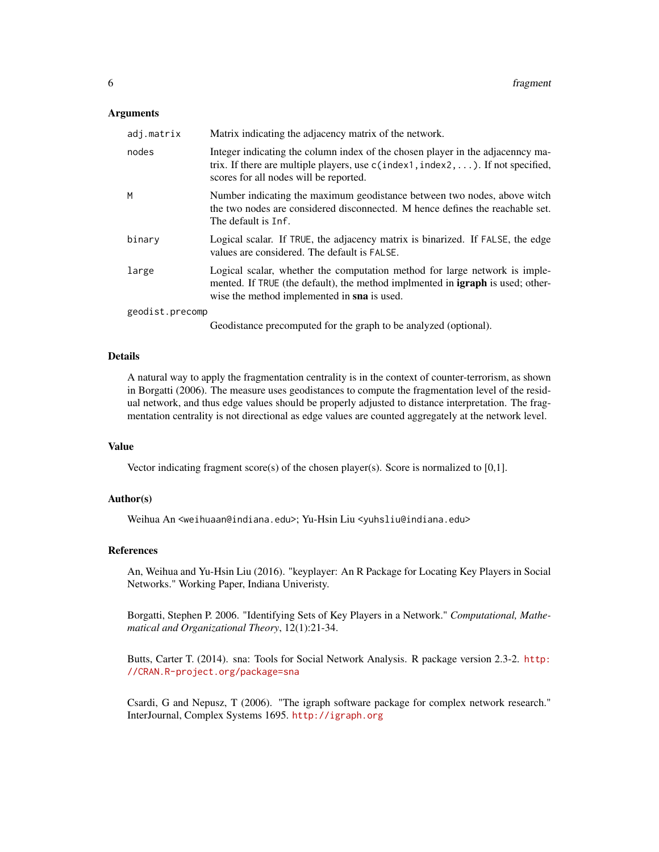#### Arguments

| adj.matrix      | Matrix indicating the adjacency matrix of the network.                                                                                                                                                             |
|-----------------|--------------------------------------------------------------------------------------------------------------------------------------------------------------------------------------------------------------------|
| nodes           | Integer indicating the column index of the chosen player in the adjacenncy ma-<br>trix. If there are multiple players, use $c$ (index1, index2, ). If not specified,<br>scores for all nodes will be reported.     |
| M               | Number indicating the maximum geodistance between two nodes, above witch<br>the two nodes are considered disconnected. M hence defines the reachable set.<br>The default is Inf.                                   |
| binary          | Logical scalar. If TRUE, the adjacency matrix is binarized. If FALSE, the edge<br>values are considered. The default is FALSE.                                                                                     |
| large           | Logical scalar, whether the computation method for large network is imple-<br>mented. If TRUE (the default), the method implmented in <b>igraph</b> is used; other-<br>wise the method implemented in sna is used. |
| geodist.precomp |                                                                                                                                                                                                                    |

Geodistance precomputed for the graph to be analyzed (optional).

# Details

A natural way to apply the fragmentation centrality is in the context of counter-terrorism, as shown in Borgatti (2006). The measure uses geodistances to compute the fragmentation level of the residual network, and thus edge values should be properly adjusted to distance interpretation. The fragmentation centrality is not directional as edge values are counted aggregately at the network level.

#### Value

Vector indicating fragment score(s) of the chosen player(s). Score is normalized to [0,1].

#### Author(s)

Weihua An <weihuaan@indiana.edu>; Yu-Hsin Liu <yuhsliu@indiana.edu>

# References

An, Weihua and Yu-Hsin Liu (2016). "keyplayer: An R Package for Locating Key Players in Social Networks." Working Paper, Indiana Univeristy.

Borgatti, Stephen P. 2006. "Identifying Sets of Key Players in a Network." *Computational, Mathematical and Organizational Theory*, 12(1):21-34.

Butts, Carter T. (2014). sna: Tools for Social Network Analysis. R package version 2.3-2. [http:](http://CRAN.R-project.org/package=sna) [//CRAN.R-project.org/package=sna](http://CRAN.R-project.org/package=sna)

Csardi, G and Nepusz, T (2006). "The igraph software package for complex network research." InterJournal, Complex Systems 1695. <http://igraph.org>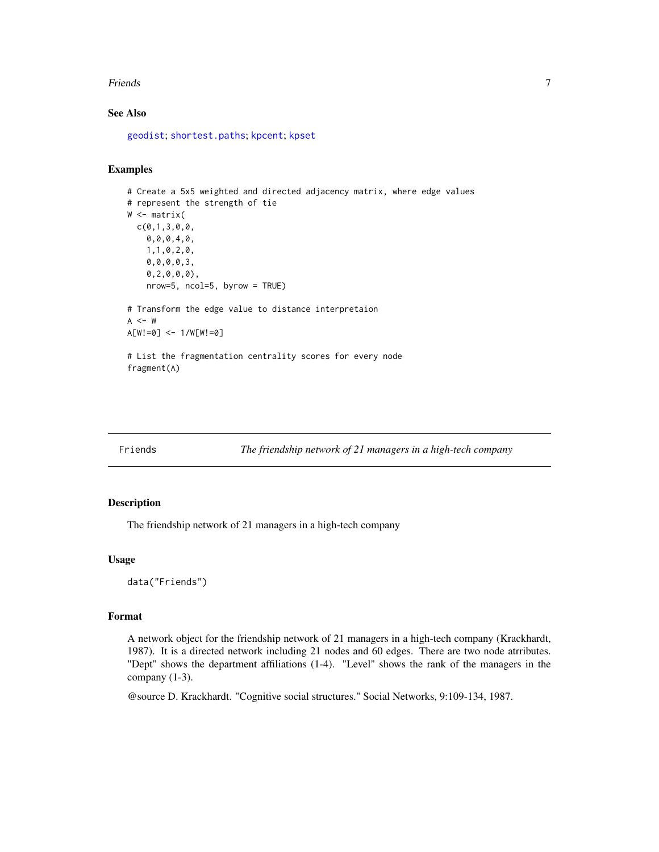#### <span id="page-6-0"></span>**Friends** 7 **7**

# See Also

[geodist](#page-0-0); [shortest.paths](#page-0-0); [kpcent](#page-7-1); [kpset](#page-10-1)

#### Examples

```
# Create a 5x5 weighted and directed adjacency matrix, where edge values
# represent the strength of tie
W <- matrix(
  c(0,1,3,0,0,
    0,0,0,4,0,
    1,1,0,2,0,
   0,0,0,0,3,
   0,2,0,0,0),
   nrow=5, ncol=5, byrow = TRUE)
# Transform the edge value to distance interpretaion
A < - WA[W!=0] <- 1/W[W!=0]
# List the fragmentation centrality scores for every node
fragment(A)
```
Friends *The friendship network of 21 managers in a high-tech company*

# Description

The friendship network of 21 managers in a high-tech company

#### Usage

data("Friends")

#### Format

A network object for the friendship network of 21 managers in a high-tech company (Krackhardt, 1987). It is a directed network including 21 nodes and 60 edges. There are two node atrributes. "Dept" shows the department affiliations (1-4). "Level" shows the rank of the managers in the company (1-3).

@source D. Krackhardt. "Cognitive social structures." Social Networks, 9:109-134, 1987.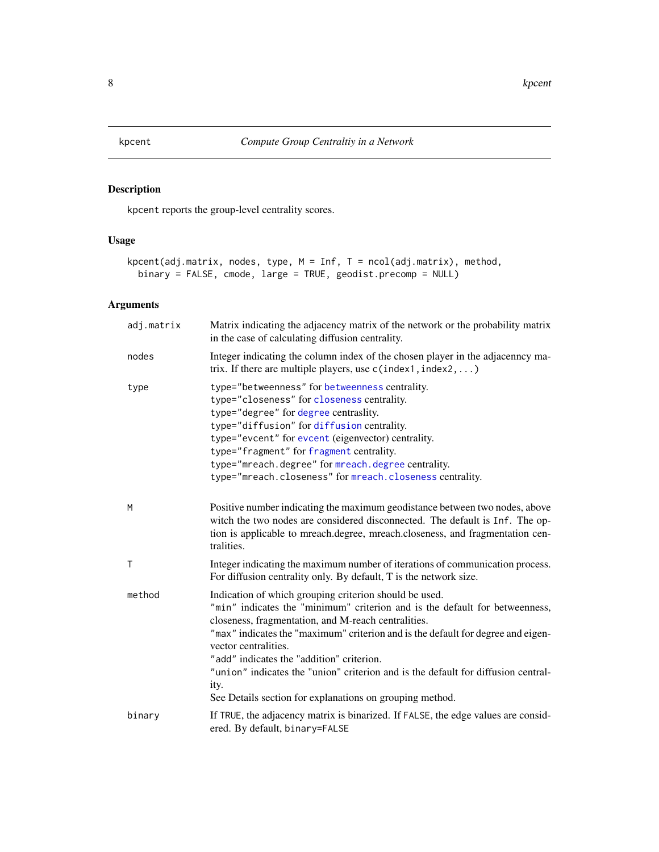<span id="page-7-1"></span><span id="page-7-0"></span>

# Description

kpcent reports the group-level centrality scores.

# Usage

```
kpcent(adj.matrix, nodes, type, M = Inf, T = ncol(adj.matrix), method,
 binary = FALSE, cmode, large = TRUE, geodist.precomp = NULL)
```
# Arguments

| adj.matrix   | Matrix indicating the adjacency matrix of the network or the probability matrix<br>in the case of calculating diffusion centrality.                                                                                                                                                                                                                                                                                                                                                                            |
|--------------|----------------------------------------------------------------------------------------------------------------------------------------------------------------------------------------------------------------------------------------------------------------------------------------------------------------------------------------------------------------------------------------------------------------------------------------------------------------------------------------------------------------|
| nodes        | Integer indicating the column index of the chosen player in the adjacenncy ma-<br>trix. If there are multiple players, use $c$ (index1, index2, )                                                                                                                                                                                                                                                                                                                                                              |
| type         | type="betweenness" for betweenness centrality.<br>type="closeness" for closeness centrality.<br>type="degree" for degree centraslity.<br>type="diffusion" for diffusion centrality.<br>type="evcent" for evcent (eigenvector) centrality.<br>type="fragment" for fragment centrality.<br>type="mreach.degree" for mreach.degree centrality.<br>type="mreach.closeness" for mreach.closeness centrality.                                                                                                        |
| M            | Positive number indicating the maximum geodistance between two nodes, above<br>witch the two nodes are considered disconnected. The default is Inf. The op-<br>tion is applicable to mreach.degree, mreach.closeness, and fragmentation cen-<br>tralities.                                                                                                                                                                                                                                                     |
| $\mathsf{T}$ | Integer indicating the maximum number of iterations of communication process.<br>For diffusion centrality only. By default, T is the network size.                                                                                                                                                                                                                                                                                                                                                             |
| method       | Indication of which grouping criterion should be used.<br>"min" indicates the "minimum" criterion and is the default for betweenness,<br>closeness, fragmentation, and M-reach centralities.<br>"max" indicates the "maximum" criterion and is the default for degree and eigen-<br>vector centralities.<br>"add" indicates the "addition" criterion.<br>"union" indicates the "union" criterion and is the default for diffusion central-<br>ity.<br>See Details section for explanations on grouping method. |
| binary       | If TRUE, the adjacency matrix is binarized. If FALSE, the edge values are consid-<br>ered. By default, binary=FALSE                                                                                                                                                                                                                                                                                                                                                                                            |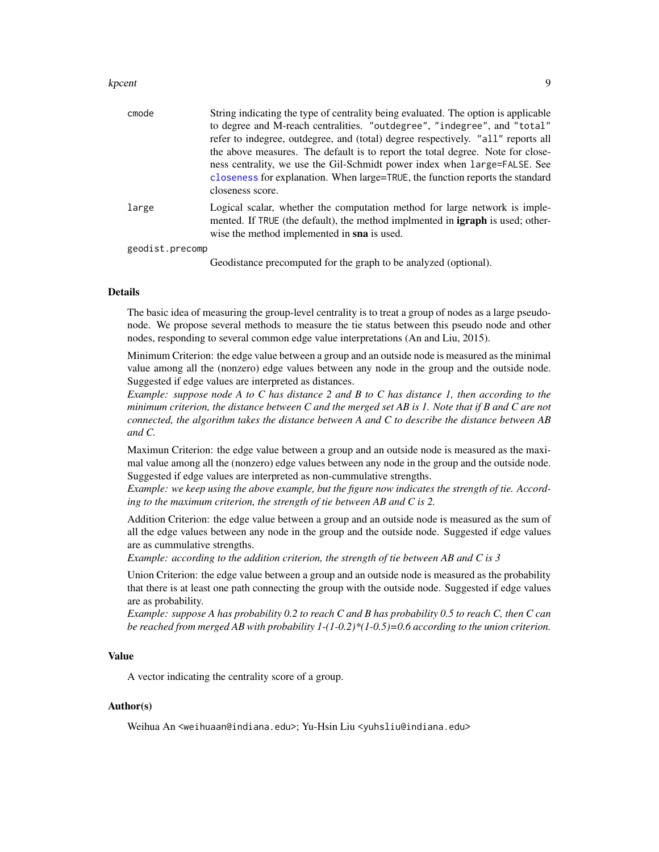#### <span id="page-8-0"></span>kpcent 9

| cmode           | String indicating the type of centrality being evaluated. The option is applicable<br>to degree and M-reach centralities. "outdegree", "indegree", and "total"      |
|-----------------|---------------------------------------------------------------------------------------------------------------------------------------------------------------------|
|                 | refer to indegree, outdegree, and (total) degree respectively. "all" reports all                                                                                    |
|                 | the above measures. The default is to report the total degree. Note for close-                                                                                      |
|                 | ness centrality, we use the Gil-Schmidt power index when large=FALSE. See                                                                                           |
|                 | closeness for explanation. When large=TRUE, the function reports the standard                                                                                       |
|                 | closeness score.                                                                                                                                                    |
| large           | Logical scalar, whether the computation method for large network is imple-<br>mented. If TRUE (the default), the method implmented in <b>igraph</b> is used; other- |
|                 | wise the method implemented in sna is used.                                                                                                                         |
| geodist.precomp |                                                                                                                                                                     |
|                 | $C_{\rm crit}$ distances and concerted for the space of the smallered (suffered).                                                                                   |

Geodistance precomputed for the graph to be analyzed (optional).

#### Details

The basic idea of measuring the group-level centrality is to treat a group of nodes as a large pseudonode. We propose several methods to measure the tie status between this pseudo node and other nodes, responding to several common edge value interpretations (An and Liu, 2015).

Minimum Criterion: the edge value between a group and an outside node is measured as the minimal value among all the (nonzero) edge values between any node in the group and the outside node. Suggested if edge values are interpreted as distances.

*Example: suppose node A to C has distance 2 and B to C has distance 1, then according to the minimum criterion, the distance between C and the merged set AB is 1. Note that if B and C are not connected, the algorithm takes the distance between A and C to describe the distance between AB and C.*

Maximun Criterion: the edge value between a group and an outside node is measured as the maximal value among all the (nonzero) edge values between any node in the group and the outside node. Suggested if edge values are interpreted as non-cummulative strengths.

*Example: we keep using the above example, but the figure now indicates the strength of tie. According to the maximum criterion, the strength of tie between AB and C is 2.*

Addition Criterion: the edge value between a group and an outside node is measured as the sum of all the edge values between any node in the group and the outside node. Suggested if edge values are as cummulative strengths.

*Example: according to the addition criterion, the strength of tie between AB and C is 3*

Union Criterion: the edge value between a group and an outside node is measured as the probability that there is at least one path connecting the group with the outside node. Suggested if edge values are as probability.

*Example: suppose A has probability 0.2 to reach C and B has probability 0.5 to reach C, then C can be reached from merged AB with probability 1-(1-0.2)\*(1-0.5)=0.6 according to the union criterion.*

# Value

A vector indicating the centrality score of a group.

## Author(s)

Weihua An <weihuaan@indiana.edu>; Yu-Hsin Liu <yuhsliu@indiana.edu>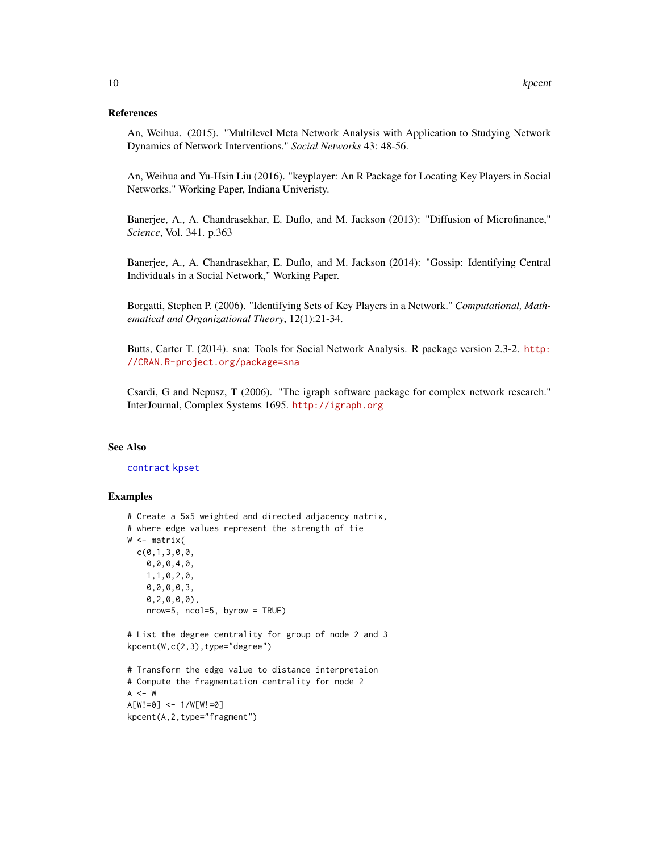#### <span id="page-9-0"></span>References

An, Weihua. (2015). "Multilevel Meta Network Analysis with Application to Studying Network Dynamics of Network Interventions." *Social Networks* 43: 48-56.

An, Weihua and Yu-Hsin Liu (2016). "keyplayer: An R Package for Locating Key Players in Social Networks." Working Paper, Indiana Univeristy.

Banerjee, A., A. Chandrasekhar, E. Duflo, and M. Jackson (2013): "Diffusion of Microfinance," *Science*, Vol. 341. p.363

Banerjee, A., A. Chandrasekhar, E. Duflo, and M. Jackson (2014): "Gossip: Identifying Central Individuals in a Social Network," Working Paper.

Borgatti, Stephen P. (2006). "Identifying Sets of Key Players in a Network." *Computational, Mathematical and Organizational Theory*, 12(1):21-34.

Butts, Carter T. (2014). sna: Tools for Social Network Analysis. R package version 2.3-2. [http:](http://CRAN.R-project.org/package=sna) [//CRAN.R-project.org/package=sna](http://CRAN.R-project.org/package=sna)

Csardi, G and Nepusz, T (2006). "The igraph software package for complex network research." InterJournal, Complex Systems 1695. <http://igraph.org>

### See Also

#### [contract](#page-1-1) [kpset](#page-10-1)

#### Examples

```
# Create a 5x5 weighted and directed adjacency matrix,
# where edge values represent the strength of tie
W <- matrix(
  c(0,1,3,0,0,
    0,0,0,4,0,
    1,1,0,2,0,
    0,0,0,0,3,
    0,2,0,0,0),
    nrow=5, ncol=5, byrow = TRUE)
# List the degree centrality for group of node 2 and 3
kpcent(W,c(2,3),type="degree")
# Transform the edge value to distance interpretaion
# Compute the fragmentation centrality for node 2
A < - WA[W!=0] <- 1/W[W!=0]
kpcent(A,2,type="fragment")
```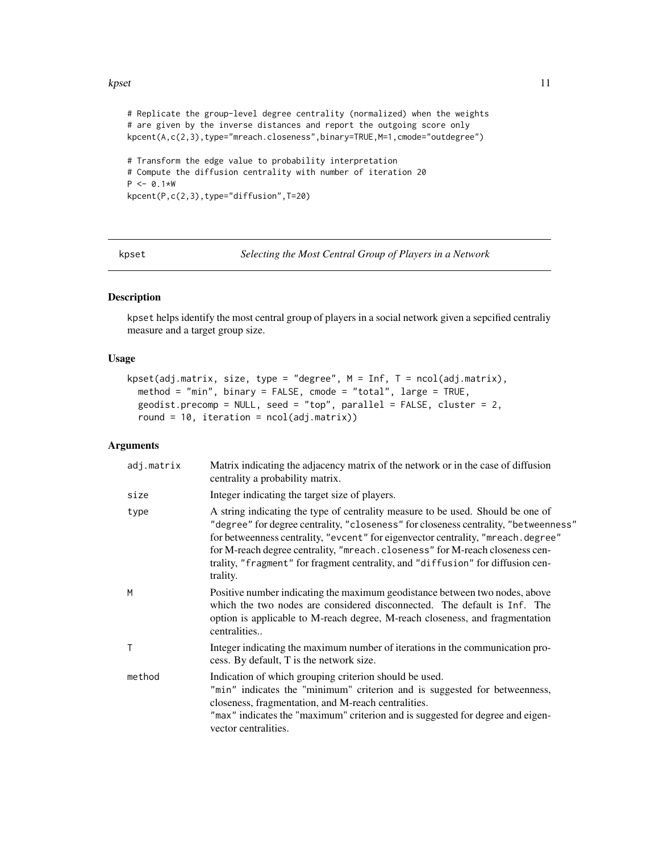#### <span id="page-10-0"></span>kpset to the set of the set of the set of the set of the set of the set of the set of the set of the set of the set of the set of the set of the set of the set of the set of the set of the set of the set of the set of the

```
# Replicate the group-level degree centrality (normalized) when the weights
# are given by the inverse distances and report the outgoing score only
kpcent(A,c(2,3),type="mreach.closeness",binary=TRUE,M=1,cmode="outdegree")
# Transform the edge value to probability interpretation
# Compute the diffusion centrality with number of iteration 20
P \le -0.1*Wkpcent(P,c(2,3),type="diffusion",T=20)
```
<span id="page-10-1"></span>kpset *Selecting the Most Central Group of Players in a Network*

#### Description

kpset helps identify the most central group of players in a social network given a sepcified centraliy measure and a target group size.

#### Usage

```
kpset(adj.matrix, size, type = "degree", M = Inf, T = ncol(adj.matrix),
 method = "min", binary = FALSE, cmode = "total", large = TRUE,
 geodist.precomp = NULL, seed = "top", parallel = FALSE, cluster = 2,round = 10, iteration = ncol(adj.matrix))
```
# **Arguments**

| adj.matrix | Matrix indicating the adjacency matrix of the network or in the case of diffusion<br>centrality a probability matrix.                                                                                                                                                                                                                                                                                                                     |
|------------|-------------------------------------------------------------------------------------------------------------------------------------------------------------------------------------------------------------------------------------------------------------------------------------------------------------------------------------------------------------------------------------------------------------------------------------------|
| size       | Integer indicating the target size of players.                                                                                                                                                                                                                                                                                                                                                                                            |
| type       | A string indicating the type of centrality measure to be used. Should be one of<br>"degree" for degree centrality, "closeness" for closeness centrality, "betweenness"<br>for betweenness centrality, "evcent" for eigenvector centrality, "mreach.degree"<br>for M-reach degree centrality, "mreach.closeness" for M-reach closeness cen-<br>trality, "fragment" for fragment centrality, and "diffusion" for diffusion cen-<br>trality. |
| M          | Positive number indicating the maximum geodistance between two nodes, above<br>which the two nodes are considered disconnected. The default is Inf. The<br>option is applicable to M-reach degree, M-reach closeness, and fragmentation<br>centralities                                                                                                                                                                                   |
| Т          | Integer indicating the maximum number of iterations in the communication pro-<br>cess. By default, T is the network size.                                                                                                                                                                                                                                                                                                                 |
| method     | Indication of which grouping criterion should be used.<br>"min" indicates the "minimum" criterion and is suggested for betweenness,<br>closeness, fragmentation, and M-reach centralities.<br>"max" indicates the "maximum" criterion and is suggested for degree and eigen-<br>vector centralities.                                                                                                                                      |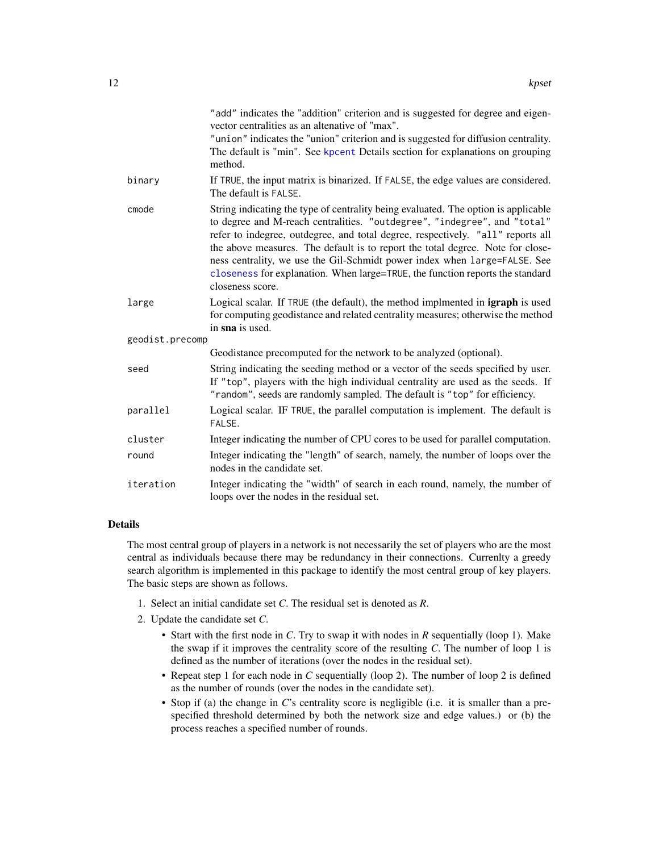<span id="page-11-0"></span>

|                 | "add" indicates the "addition" criterion and is suggested for degree and eigen-<br>vector centralities as an altenative of "max".<br>"union" indicates the "union" criterion and is suggested for diffusion centrality.<br>The default is "min". See kpcent Details section for explanations on grouping<br>method.                                                                                                                                                                                                   |
|-----------------|-----------------------------------------------------------------------------------------------------------------------------------------------------------------------------------------------------------------------------------------------------------------------------------------------------------------------------------------------------------------------------------------------------------------------------------------------------------------------------------------------------------------------|
| binary          | If TRUE, the input matrix is binarized. If FALSE, the edge values are considered.<br>The default is FALSE.                                                                                                                                                                                                                                                                                                                                                                                                            |
| cmode           | String indicating the type of centrality being evaluated. The option is applicable<br>to degree and M-reach centralities. "outdegree", "indegree", and "total"<br>refer to indegree, outdegree, and total degree, respectively. "all" reports all<br>the above measures. The default is to report the total degree. Note for close-<br>ness centrality, we use the Gil-Schmidt power index when large=FALSE. See<br>closeness for explanation. When large=TRUE, the function reports the standard<br>closeness score. |
| large           | Logical scalar. If TRUE (the default), the method implmented in <b>igraph</b> is used<br>for computing geodistance and related centrality measures; otherwise the method<br>in sna is used.                                                                                                                                                                                                                                                                                                                           |
| geodist.precomp |                                                                                                                                                                                                                                                                                                                                                                                                                                                                                                                       |
|                 | Geodistance precomputed for the network to be analyzed (optional).                                                                                                                                                                                                                                                                                                                                                                                                                                                    |
| seed            | String indicating the seeding method or a vector of the seeds specified by user.<br>If "top", players with the high individual centrality are used as the seeds. If<br>"random", seeds are randomly sampled. The default is "top" for efficiency.                                                                                                                                                                                                                                                                     |
| parallel        | Logical scalar. IF TRUE, the parallel computation is implement. The default is<br>FALSE.                                                                                                                                                                                                                                                                                                                                                                                                                              |
| cluster         | Integer indicating the number of CPU cores to be used for parallel computation.                                                                                                                                                                                                                                                                                                                                                                                                                                       |
| round           | Integer indicating the "length" of search, namely, the number of loops over the<br>nodes in the candidate set.                                                                                                                                                                                                                                                                                                                                                                                                        |
| iteration       | Integer indicating the "width" of search in each round, namely, the number of<br>loops over the nodes in the residual set.                                                                                                                                                                                                                                                                                                                                                                                            |

#### Details

The most central group of players in a network is not necessarily the set of players who are the most central as individuals because there may be redundancy in their connections. Currenlty a greedy search algorithm is implemented in this package to identify the most central group of key players. The basic steps are shown as follows.

- 1. Select an initial candidate set *C*. The residual set is denoted as *R*.
- 2. Update the candidate set *C*.
	- Start with the first node in *C*. Try to swap it with nodes in *R* sequentially (loop 1). Make the swap if it improves the centrality score of the resulting *C*. The number of loop 1 is defined as the number of iterations (over the nodes in the residual set).
	- Repeat step 1 for each node in *C* sequentially (loop 2). The number of loop 2 is defined as the number of rounds (over the nodes in the candidate set).
	- Stop if (a) the change in *C*'s centrality score is negligible (i.e. it is smaller than a prespecified threshold determined by both the network size and edge values.) or (b) the process reaches a specified number of rounds.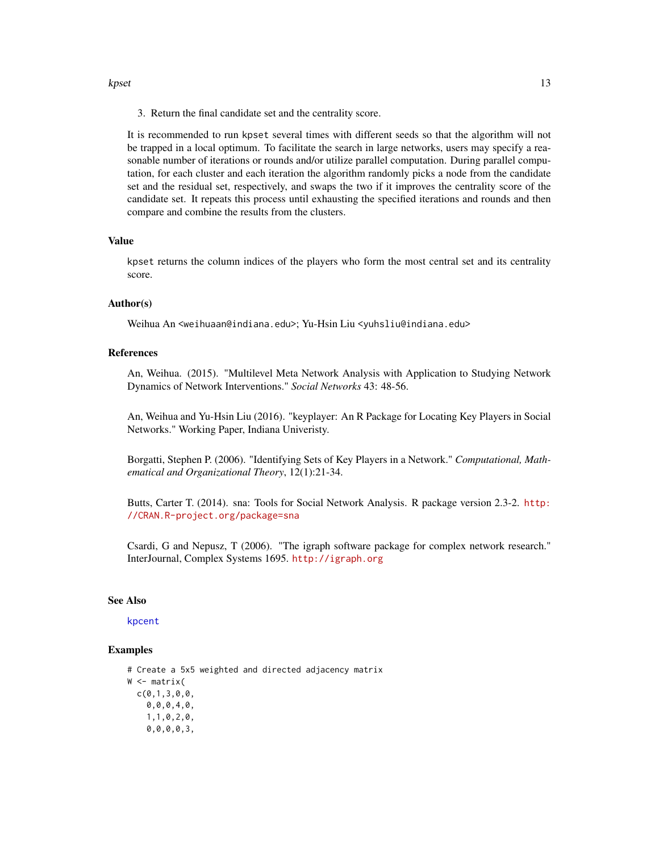#### <span id="page-12-0"></span>kpset to the state of the state of the state of the state of the state of the state of the state of the state of the state of the state of the state of the state of the state of the state of the state of the state of the s

3. Return the final candidate set and the centrality score.

It is recommended to run kpset several times with different seeds so that the algorithm will not be trapped in a local optimum. To facilitate the search in large networks, users may specify a reasonable number of iterations or rounds and/or utilize parallel computation. During parallel computation, for each cluster and each iteration the algorithm randomly picks a node from the candidate set and the residual set, respectively, and swaps the two if it improves the centrality score of the candidate set. It repeats this process until exhausting the specified iterations and rounds and then compare and combine the results from the clusters.

#### Value

kpset returns the column indices of the players who form the most central set and its centrality score.

#### Author(s)

Weihua An <weihuaan@indiana.edu>; Yu-Hsin Liu <yuhsliu@indiana.edu>

#### References

An, Weihua. (2015). "Multilevel Meta Network Analysis with Application to Studying Network Dynamics of Network Interventions." *Social Networks* 43: 48-56.

An, Weihua and Yu-Hsin Liu (2016). "keyplayer: An R Package for Locating Key Players in Social Networks." Working Paper, Indiana Univeristy.

Borgatti, Stephen P. (2006). "Identifying Sets of Key Players in a Network." *Computational, Mathematical and Organizational Theory*, 12(1):21-34.

Butts, Carter T. (2014). sna: Tools for Social Network Analysis. R package version 2.3-2. [http:](http://CRAN.R-project.org/package=sna) [//CRAN.R-project.org/package=sna](http://CRAN.R-project.org/package=sna)

Csardi, G and Nepusz, T (2006). "The igraph software package for complex network research." InterJournal, Complex Systems 1695. <http://igraph.org>

# See Also

### [kpcent](#page-7-1)

#### Examples

# Create a 5x5 weighted and directed adjacency matrix W <- matrix( c(0,1,3,0,0, 0,0,0,4,0, 1,1,0,2,0, 0,0,0,0,3,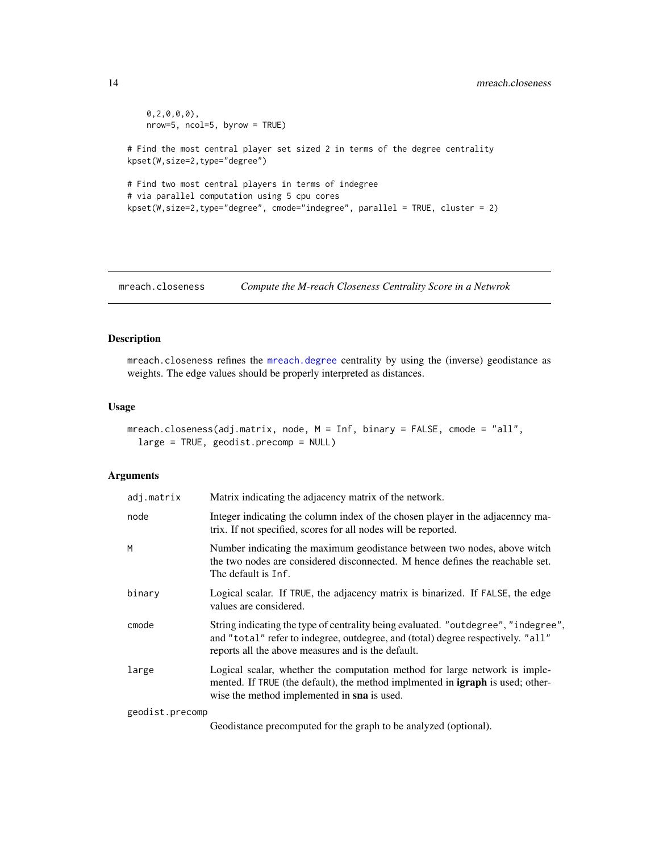```
0,2,0,0,0),
   nrow=5, ncol=5, byrow = TRUE)
# Find the most central player set sized 2 in terms of the degree centrality
kpset(W,size=2,type="degree")
# Find two most central players in terms of indegree
# via parallel computation using 5 cpu cores
kpset(W,size=2,type="degree", cmode="indegree", parallel = TRUE, cluster = 2)
```
<span id="page-13-1"></span>mreach.closeness *Compute the M-reach Closeness Centrality Score in a Netwrok*

# Description

mreach.closeness refines the [mreach.degree](#page-15-1) centrality by using the (inverse) geodistance as weights. The edge values should be properly interpreted as distances.

# Usage

```
mreach.closeness(adj.matrix, node, M = Inf, binary = FALSE, cmode = "all",
  large = TRUE, geodist.precomp = NULL)
```
#### Arguments

| adj.matrix      | Matrix indicating the adjacency matrix of the network.                                                                                                                                                                       |
|-----------------|------------------------------------------------------------------------------------------------------------------------------------------------------------------------------------------------------------------------------|
| node            | Integer indicating the column index of the chosen player in the adjacenney ma-<br>trix. If not specified, scores for all nodes will be reported.                                                                             |
| M               | Number indicating the maximum geodistance between two nodes, above witch<br>the two nodes are considered disconnected. M hence defines the reachable set.<br>The default is Inf.                                             |
| binary          | Logical scalar. If TRUE, the adjacency matrix is binarized. If FALSE, the edge<br>values are considered.                                                                                                                     |
| cmode           | String indicating the type of centrality being evaluated. "outdegree", "indegree",<br>and "total" refer to indegree, outdegree, and (total) degree respectively. "all"<br>reports all the above measures and is the default. |
| large           | Logical scalar, whether the computation method for large network is imple-<br>mented. If TRUE (the default), the method implmented in <b>igraph</b> is used; other-<br>wise the method implemented in sna is used.           |
| geodist.precomp |                                                                                                                                                                                                                              |

Geodistance precomputed for the graph to be analyzed (optional).

<span id="page-13-0"></span>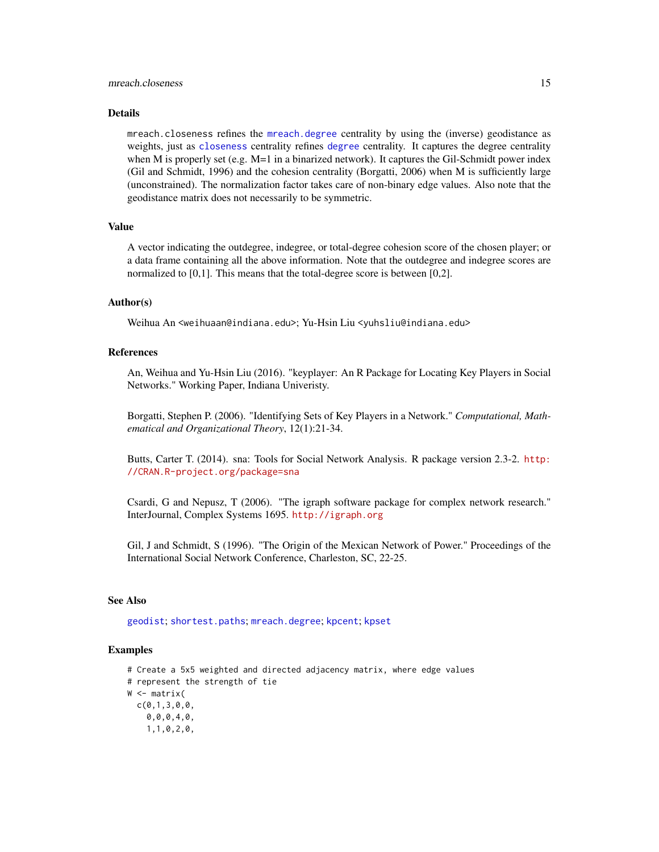#### <span id="page-14-0"></span>Details

mreach.closeness refines the [mreach.degree](#page-15-1) centrality by using the (inverse) geodistance as weights, just as [closeness](#page-0-0) centrality refines [degree](#page-0-0) centrality. It captures the degree centrality when M is properly set (e.g. M=1 in a binarized network). It captures the Gil-Schmidt power index (Gil and Schmidt, 1996) and the cohesion centrality (Borgatti, 2006) when M is sufficiently large (unconstrained). The normalization factor takes care of non-binary edge values. Also note that the geodistance matrix does not necessarily to be symmetric.

#### Value

A vector indicating the outdegree, indegree, or total-degree cohesion score of the chosen player; or a data frame containing all the above information. Note that the outdegree and indegree scores are normalized to [0,1]. This means that the total-degree score is between [0,2].

### Author(s)

Weihua An <weihuaan@indiana.edu>; Yu-Hsin Liu <yuhsliu@indiana.edu>

## References

An, Weihua and Yu-Hsin Liu (2016). "keyplayer: An R Package for Locating Key Players in Social Networks." Working Paper, Indiana Univeristy.

Borgatti, Stephen P. (2006). "Identifying Sets of Key Players in a Network." *Computational, Mathematical and Organizational Theory*, 12(1):21-34.

Butts, Carter T. (2014). sna: Tools for Social Network Analysis. R package version 2.3-2. [http:](http://CRAN.R-project.org/package=sna) [//CRAN.R-project.org/package=sna](http://CRAN.R-project.org/package=sna)

Csardi, G and Nepusz, T (2006). "The igraph software package for complex network research." InterJournal, Complex Systems 1695. <http://igraph.org>

Gil, J and Schmidt, S (1996). "The Origin of the Mexican Network of Power." Proceedings of the International Social Network Conference, Charleston, SC, 22-25.

# See Also

[geodist](#page-0-0); [shortest.paths](#page-0-0); [mreach.degree](#page-15-1); [kpcent](#page-7-1); [kpset](#page-10-1)

#### Examples

```
# Create a 5x5 weighted and directed adjacency matrix, where edge values
# represent the strength of tie
W <- matrix(
 c(0,1,3,0,0,0,0,0,4,0,
    1,1,0,2,0,
```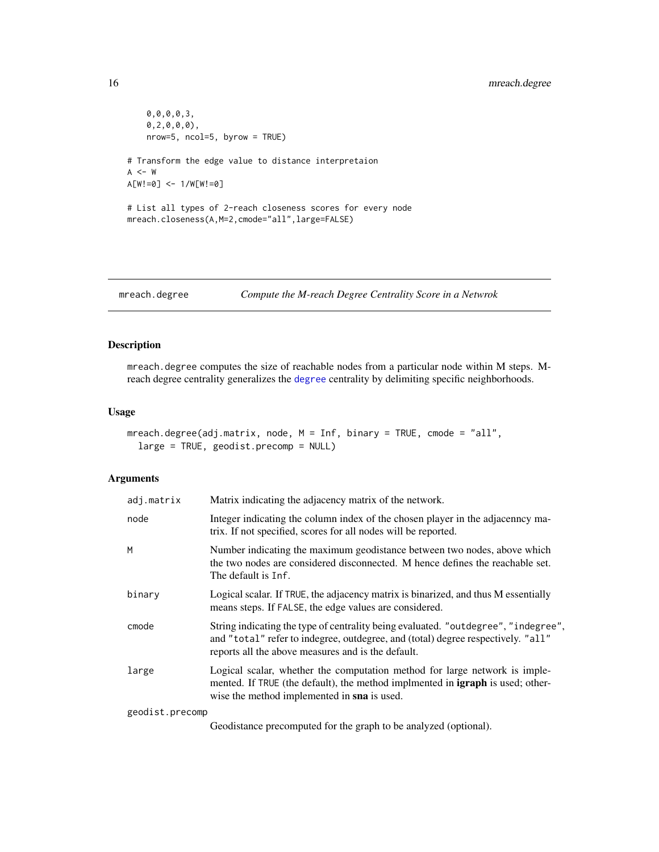```
0,0,0,0,3,
   0,2,0,0,0),
   nrow=5, ncol=5, byrow = TRUE)
# Transform the edge value to distance interpretaion
A < - WA[W!=0] <- 1/W[W!=0]
# List all types of 2-reach closeness scores for every node
mreach.closeness(A,M=2,cmode="all",large=FALSE)
```
<span id="page-15-1"></span>mreach.degree *Compute the M-reach Degree Centrality Score in a Netwrok*

# Description

mreach.degree computes the size of reachable nodes from a particular node within M steps. Mreach degree centrality generalizes the [degree](#page-0-0) centrality by delimiting specific neighborhoods.

#### Usage

```
mreach.degree(adj.matrix, node, M = Inf, binary = TRUE, cmode = "all",
  large = TRUE, geodist.precomp = NULL)
```
# Arguments

| adj.matrix      | Matrix indicating the adjacency matrix of the network.                                                                                                                                                                       |
|-----------------|------------------------------------------------------------------------------------------------------------------------------------------------------------------------------------------------------------------------------|
| node            | Integer indicating the column index of the chosen player in the adjacenncy ma-<br>trix. If not specified, scores for all nodes will be reported.                                                                             |
| м               | Number indicating the maximum geodistance between two nodes, above which<br>the two nodes are considered disconnected. M hence defines the reachable set.<br>The default is Inf.                                             |
| binary          | Logical scalar. If TRUE, the adjacency matrix is binarized, and thus M essentially<br>means steps. If FALSE, the edge values are considered.                                                                                 |
| cmode           | String indicating the type of centrality being evaluated. "outdegree", "indegree",<br>and "total" refer to indegree, outdegree, and (total) degree respectively. "all"<br>reports all the above measures and is the default. |
| large           | Logical scalar, whether the computation method for large network is imple-<br>mented. If TRUE (the default), the method implmented in <b>igraph</b> is used; other-<br>wise the method implemented in sna is used.           |
| geodist.precomp |                                                                                                                                                                                                                              |

Geodistance precomputed for the graph to be analyzed (optional).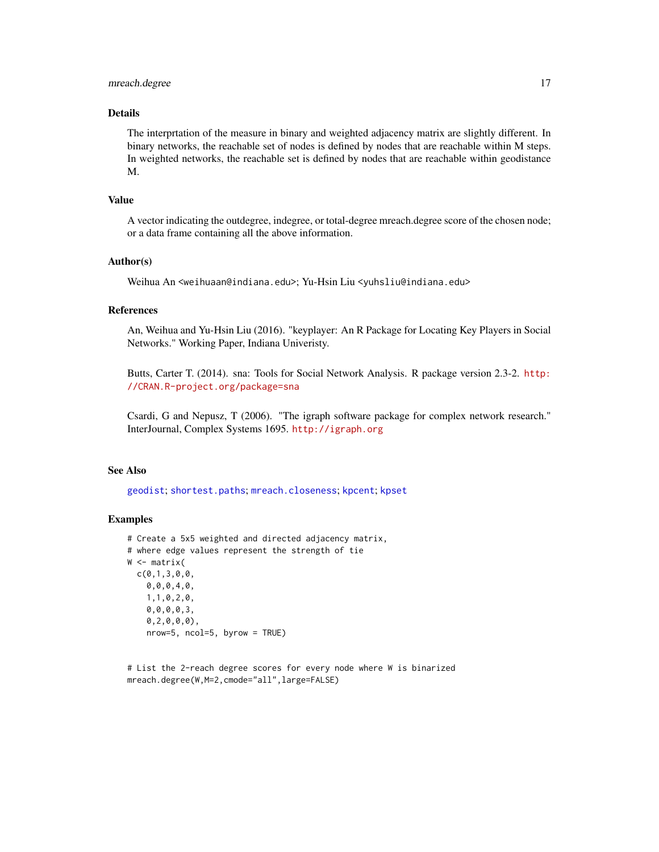# <span id="page-16-0"></span>mreach.degree 17

# Details

The interprtation of the measure in binary and weighted adjacency matrix are slightly different. In binary networks, the reachable set of nodes is defined by nodes that are reachable within M steps. In weighted networks, the reachable set is defined by nodes that are reachable within geodistance M.

## Value

A vector indicating the outdegree, indegree, or total-degree mreach.degree score of the chosen node; or a data frame containing all the above information.

# Author(s)

Weihua An <weihuaan@indiana.edu>; Yu-Hsin Liu <yuhsliu@indiana.edu>

#### References

An, Weihua and Yu-Hsin Liu (2016). "keyplayer: An R Package for Locating Key Players in Social Networks." Working Paper, Indiana Univeristy.

Butts, Carter T. (2014). sna: Tools for Social Network Analysis. R package version 2.3-2. [http:](http://CRAN.R-project.org/package=sna) [//CRAN.R-project.org/package=sna](http://CRAN.R-project.org/package=sna)

Csardi, G and Nepusz, T (2006). "The igraph software package for complex network research." InterJournal, Complex Systems 1695. <http://igraph.org>

#### See Also

[geodist](#page-0-0); [shortest.paths](#page-0-0); [mreach.closeness](#page-13-1); [kpcent](#page-7-1); [kpset](#page-10-1)

## Examples

```
# Create a 5x5 weighted and directed adjacency matrix,
# where edge values represent the strength of tie
W <- matrix(
 c(0,1,3,0,0,
   0,0,0,4,0,
   1,1,0,2,0,
   0,0,0,0,3,
   0,2,0,0,0),
   nrow=5, ncol=5, byrow = TRUE)
```
# List the 2-reach degree scores for every node where W is binarized mreach.degree(W,M=2,cmode="all",large=FALSE)